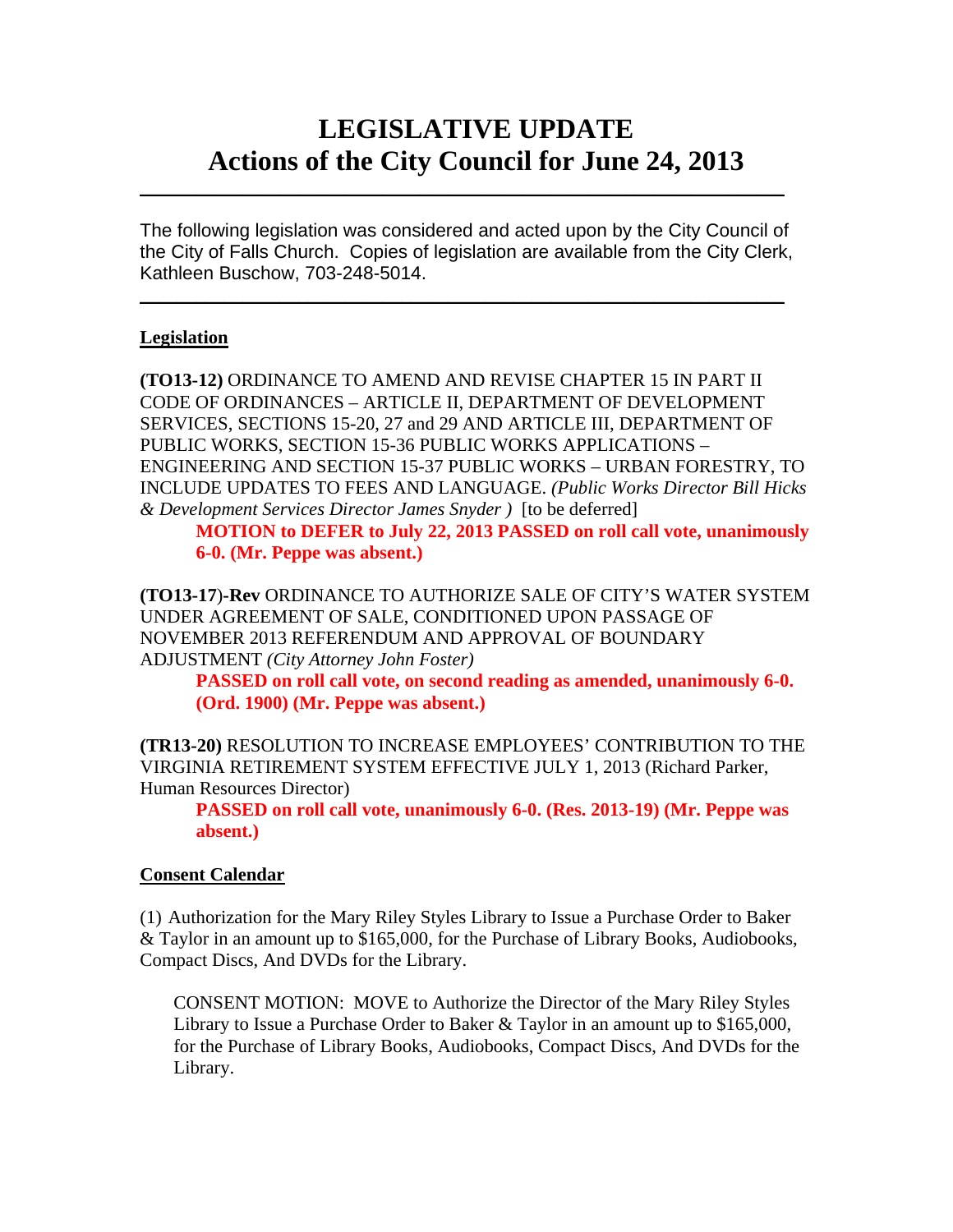# **LEGISLATIVE UPDATE Actions of the City Council for June 24, 2013**

The following legislation was considered and acted upon by the City Council of the City of Falls Church. Copies of legislation are available from the City Clerk, Kathleen Buschow, 703-248-5014.

 $\blacksquare$ 

 $\mathcal{L}_\text{max}$  and  $\mathcal{L}_\text{max}$  and  $\mathcal{L}_\text{max}$  and  $\mathcal{L}_\text{max}$  and  $\mathcal{L}_\text{max}$  and  $\mathcal{L}_\text{max}$ 

## **Legislation**

**(TO13-12)** ORDINANCE TO AMEND AND REVISE CHAPTER 15 IN PART II CODE OF ORDINANCES – ARTICLE II, DEPARTMENT OF DEVELOPMENT SERVICES, SECTIONS 15-20, 27 and 29 AND ARTICLE III, DEPARTMENT OF PUBLIC WORKS, SECTION 15-36 PUBLIC WORKS APPLICATIONS – ENGINEERING AND SECTION 15-37 PUBLIC WORKS – URBAN FORESTRY, TO INCLUDE UPDATES TO FEES AND LANGUAGE. *(Public Works Director Bill Hicks & Development Services Director James Snyder )* [to be deferred]

**MOTION to DEFER to July 22, 2013 PASSED on roll call vote, unanimously 6-0. (Mr. Peppe was absent.)** 

**(TO13-17**)**-Rev** ORDINANCE TO AUTHORIZE SALE OF CITY'S WATER SYSTEM UNDER AGREEMENT OF SALE, CONDITIONED UPON PASSAGE OF NOVEMBER 2013 REFERENDUM AND APPROVAL OF BOUNDARY ADJUSTMENT *(City Attorney John Foster)*

**PASSED on roll call vote, on second reading as amended, unanimously 6-0. (Ord. 1900) (Mr. Peppe was absent.)** 

**(TR13-20)** RESOLUTION TO INCREASE EMPLOYEES' CONTRIBUTION TO THE VIRGINIA RETIREMENT SYSTEM EFFECTIVE JULY 1, 2013 (Richard Parker, Human Resources Director)

**PASSED on roll call vote, unanimously 6-0. (Res. 2013-19) (Mr. Peppe was absent.)** 

## **Consent Calendar**

(1) Authorization for the Mary Riley Styles Library to Issue a Purchase Order to Baker & Taylor in an amount up to \$165,000, for the Purchase of Library Books, Audiobooks, Compact Discs, And DVDs for the Library.

CONSENT MOTION: MOVE to Authorize the Director of the Mary Riley Styles Library to Issue a Purchase Order to Baker & Taylor in an amount up to \$165,000, for the Purchase of Library Books, Audiobooks, Compact Discs, And DVDs for the Library.